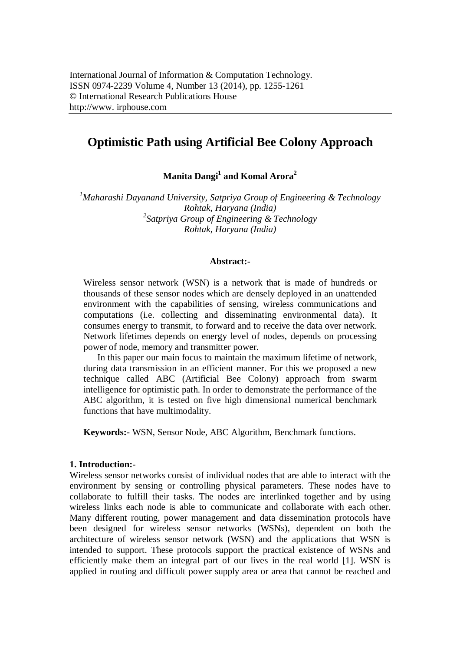# **Optimistic Path using Artificial Bee Colony Approach**

**Manita Dangi<sup>1</sup> and Komal Arora<sup>2</sup>**

*<sup>1</sup>Maharashi Dayanand University, Satpriya Group of Engineering & Technology Rohtak, Haryana (India) 2 Satpriya Group of Engineering & Technology Rohtak, Haryana (India)*

#### **Abstract:-**

Wireless sensor network (WSN) is a network that is made of hundreds or thousands of these sensor nodes which are densely deployed in an unattended environment with the capabilities of sensing, wireless communications and computations (i.e. collecting and disseminating environmental data). It consumes energy to transmit, to forward and to receive the data over network. Network lifetimes depends on energy level of nodes, depends on processing power of node, memory and transmitter power.

In this paper our main focus to maintain the maximum lifetime of network, during data transmission in an efficient manner. For this we proposed a new technique called ABC (Artificial Bee Colony) approach from swarm intelligence for optimistic path. In order to demonstrate the performance of the ABC algorithm, it is tested on five high dimensional numerical benchmark functions that have multimodality.

**Keywords:-** WSN, Sensor Node, ABC Algorithm, Benchmark functions.

#### **1. Introduction:-**

Wireless sensor networks consist of individual nodes that are able to interact with the environment by sensing or controlling physical parameters. These nodes have to collaborate to fulfill their tasks. The nodes are interlinked together and by using wireless links each node is able to communicate and collaborate with each other. Many different routing, power management and data dissemination protocols have been designed for wireless sensor networks (WSNs), dependent on both the architecture of wireless sensor network (WSN) and the applications that WSN is intended to support. These protocols support the practical existence of WSNs and efficiently make them an integral part of our lives in the real world [1]. WSN is applied in routing and difficult power supply area or area that cannot be reached and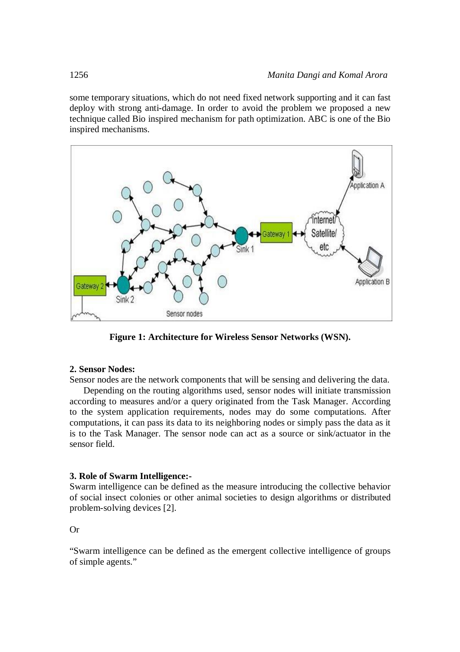some temporary situations, which do not need fixed network supporting and it can fast deploy with strong anti-damage. In order to avoid the problem we proposed a new technique called Bio inspired mechanism for path optimization. ABC is one of the Bio inspired mechanisms.



**Figure 1: Architecture for Wireless Sensor Networks (WSN).**

#### **2. Sensor Nodes:**

Sensor nodes are the network components that will be sensing and delivering the data.

Depending on the routing algorithms used, sensor nodes will initiate transmission according to measures and/or a query originated from the Task Manager. According to the system application requirements, nodes may do some computations. After computations, it can pass its data to its neighboring nodes or simply pass the data as it is to the Task Manager. The sensor node can act as a source or sink/actuator in the sensor field.

#### **3. Role of Swarm Intelligence:-**

Swarm intelligence can be defined as the measure introducing the collective behavior of social insect colonies or other animal societies to design algorithms or distributed problem-solving devices [2].

# Or

"Swarm intelligence can be defined as the emergent collective intelligence of groups of simple agents."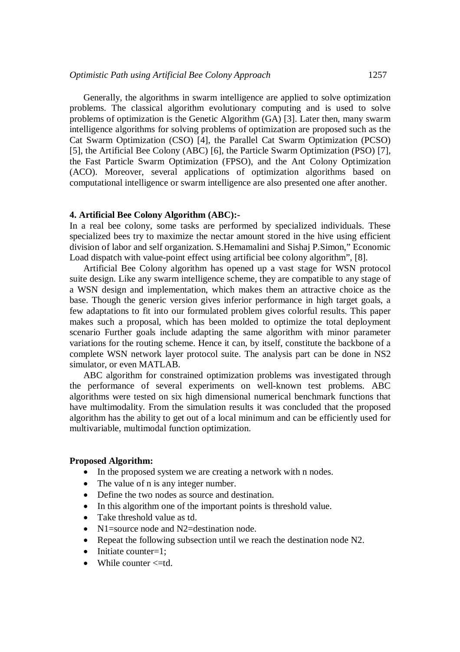Generally, the algorithms in swarm intelligence are applied to solve optimization problems. The classical algorithm evolutionary computing and is used to solve problems of optimization is the Genetic Algorithm (GA) [3]. Later then, many swarm intelligence algorithms for solving problems of optimization are proposed such as the Cat Swarm Optimization (CSO) [4], the Parallel Cat Swarm Optimization (PCSO) [5], the Artificial Bee Colony (ABC) [6], the Particle Swarm Optimization (PSO) [7], the Fast Particle Swarm Optimization (FPSO), and the Ant Colony Optimization (ACO). Moreover, several applications of optimization algorithms based on computational intelligence or swarm intelligence are also presented one after another.

#### **4. Artificial Bee Colony Algorithm (ABC):-**

In a real bee colony, some tasks are performed by specialized individuals. These specialized bees try to maximize the nectar amount stored in the hive using efficient division of labor and self organization. S.Hemamalini and Sishaj P.Simon," Economic Load dispatch with value-point effect using artificial bee colony algorithm", [8].

Artificial Bee Colony algorithm has opened up a vast stage for WSN protocol suite design. Like any swarm intelligence scheme, they are compatible to any stage of a WSN design and implementation, which makes them an attractive choice as the base. Though the generic version gives inferior performance in high target goals, a few adaptations to fit into our formulated problem gives colorful results. This paper makes such a proposal, which has been molded to optimize the total deployment scenario Further goals include adapting the same algorithm with minor parameter variations for the routing scheme. Hence it can, by itself, constitute the backbone of a complete WSN network layer protocol suite. The analysis part can be done in NS2 simulator, or even MATLAB.

ABC algorithm for constrained optimization problems was investigated through the performance of several experiments on well-known test problems. ABC algorithms were tested on six high dimensional numerical benchmark functions that have multimodality. From the simulation results it was concluded that the proposed algorithm has the ability to get out of a local minimum and can be efficiently used for multivariable, multimodal function optimization.

#### **Proposed Algorithm:**

- In the proposed system we are creating a network with n nodes.
- The value of n is any integer number.
- Define the two nodes as source and destination.
- In this algorithm one of the important points is threshold value.
- Take threshold value as td.
- N1=source node and N2=destination node.
- Repeat the following subsection until we reach the destination node N2.
- $\bullet$  Initiate counter=1:
- While counter  $\leq$ =td.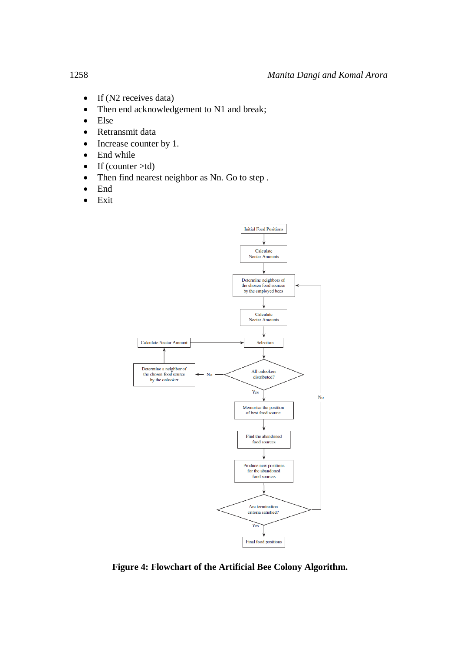- $\bullet$  If (N2 receives data)
- Then end acknowledgement to N1 and break;
- Else
- Retransmit data
- Increase counter by 1.
- End while
- $\bullet$  If (counter  $>$ td)
- Then find nearest neighbor as Nn. Go to step .
- End
- $\bullet$  Exit



**Figure 4: Flowchart of the Artificial Bee Colony Algorithm.**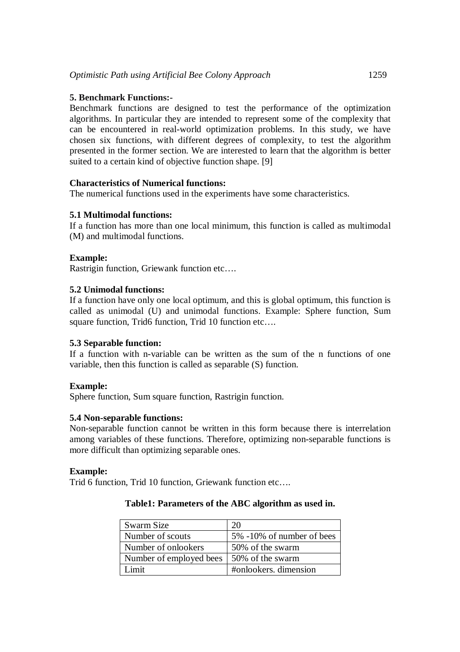# **5. Benchmark Functions:-**

Benchmark functions are designed to test the performance of the optimization algorithms. In particular they are intended to represent some of the complexity that can be encountered in real-world optimization problems. In this study, we have chosen six functions, with different degrees of complexity, to test the algorithm presented in the former section. We are interested to learn that the algorithm is better suited to a certain kind of objective function shape. [9]

# **Characteristics of Numerical functions:**

The numerical functions used in the experiments have some characteristics.

# **5.1 Multimodal functions:**

If a function has more than one local minimum, this function is called as multimodal (M) and multimodal functions.

# **Example:**

Rastrigin function, Griewank function etc….

# **5.2 Unimodal functions:**

If a function have only one local optimum, and this is global optimum, this function is called as unimodal (U) and unimodal functions. Example: Sphere function, Sum square function, Trid6 function, Trid 10 function etc....

# **5.3 Separable function:**

If a function with n-variable can be written as the sum of the n functions of one variable, then this function is called as separable (S) function.

# **Example:**

Sphere function, Sum square function, Rastrigin function.

# **5.4 Non-separable functions:**

Non-separable function cannot be written in this form because there is interrelation among variables of these functions. Therefore, optimizing non-separable functions is more difficult than optimizing separable ones.

# **Example:**

Trid 6 function, Trid 10 function, Griewank function etc….

# **Table1: Parameters of the ABC algorithm as used in.**

| Swarm Size              | 20                        |
|-------------------------|---------------------------|
| Number of scouts        | 5% -10% of number of bees |
| Number of onlookers     | 50% of the swarm          |
| Number of employed bees | 50% of the swarm          |
| imit                    | #onlookers. dimension     |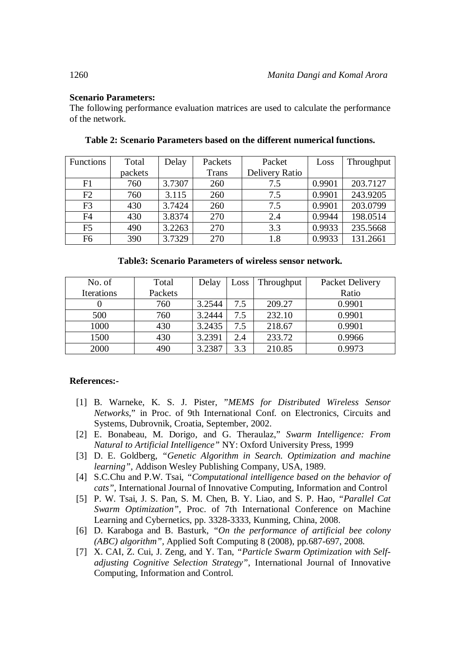# **Scenario Parameters:**

The following performance evaluation matrices are used to calculate the performance of the network.

| <b>Functions</b> | Total   | Delay  | Packets      | Packet         | Loss   | Throughput |
|------------------|---------|--------|--------------|----------------|--------|------------|
|                  | packets |        | <b>Trans</b> | Delivery Ratio |        |            |
| F1               | 760     | 3.7307 | 260          | 7.5            | 0.9901 | 203.7127   |
| F2               | 760     | 3.115  | 260          | 7.5            | 0.9901 | 243.9205   |
| F <sub>3</sub>   | 430     | 3.7424 | 260          | 7.5            | 0.9901 | 203.0799   |
| F <sub>4</sub>   | 430     | 3.8374 | 270          | 2.4            | 0.9944 | 198.0514   |
| F <sub>5</sub>   | 490     | 3.2263 | 270          | 3.3            | 0.9933 | 235.5668   |
| F <sub>6</sub>   | 390     | 3.7329 | 270          | 1.8            | 0.9933 | 131.2661   |

# **Table 2: Scenario Parameters based on the different numerical functions.**

| <b>Table3: Scenario Parameters of wireless sensor network.</b> |  |  |  |  |
|----------------------------------------------------------------|--|--|--|--|
|----------------------------------------------------------------|--|--|--|--|

| No. of     | Total   | Delay  | Loss | Throughput | <b>Packet Delivery</b> |
|------------|---------|--------|------|------------|------------------------|
| Iterations | Packets |        |      |            | Ratio                  |
|            | 760     | 3.2544 | 7.5  | 209.27     | 0.9901                 |
| 500        | 760     | 3.2444 | 7.5  | 232.10     | 0.9901                 |
| 1000       | 430     | 3.2435 | 7.5  | 218.67     | 0.9901                 |
| 1500       | 430     | 3.2391 | 2.4  | 233.72     | 0.9966                 |
| 2000       | 490     | 3.2387 | 3.3  | 210.85     | 0.9973                 |

# **References:-**

- [1] B. Warneke, K. S. J. Pister, "*MEMS for Distributed Wireless Sensor Networks*," in Proc. of 9th International Conf. on Electronics, Circuits and Systems, Dubrovnik, Croatia, September, 2002.
- [2] E. Bonabeau, M. Dorigo, and G. Theraulaz," *Swarm Intelligence: From Natural to Artificial Intelligence"* NY: Oxford University Press, 1999
- [3] D. E. Goldberg, *"Genetic Algorithm in Search. Optimization and machine learning",* Addison Wesley Publishing Company, USA, 1989.
- [4] S.C.Chu and P.W. Tsai*, "Computational intelligence based on the behavior of cats",* International Journal of Innovative Computing, Information and Control
- [5] P. W. Tsai, J. S. Pan, S. M. Chen, B. Y. Liao, and S. P. Hao, *"Parallel Cat Swarm Optimization",* Proc. of 7th International Conference on Machine Learning and Cybernetics, pp. 3328-3333, Kunming, China, 2008.
- [6] D. Karaboga and B. Basturk, *"On the performance of artificial bee colony (ABC) algorithm",* Applied Soft Computing 8 (2008), pp.687-697, 2008.
- [7] X. CAI, Z. Cui, J. Zeng, and Y. Tan, *"Particle Swarm Optimization with Selfadjusting Cognitive Selection Strategy"*, International Journal of Innovative Computing, Information and Control.